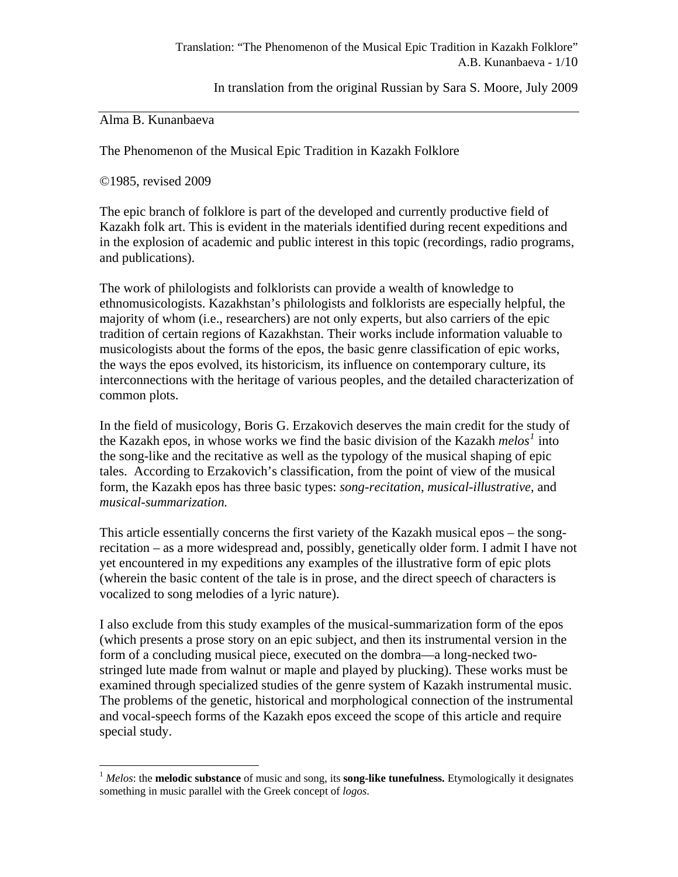In translation from the original Russian by Sara S. Moore, July 2009

Alma B. Kunanbaeva

The Phenomenon of the Musical Epic Tradition in Kazakh Folklore

©1985, revised 2009

1

The epic branch of folklore is part of the developed and currently productive field of Kazakh folk art. This is evident in the materials identified during recent expeditions and in the explosion of academic and public interest in this topic (recordings, radio programs, and publications).

The work of philologists and folklorists can provide a wealth of knowledge to ethnomusicologists. Kazakhstan's philologists and folklorists are especially helpful, the majority of whom (i.e., researchers) are not only experts, but also carriers of the epic tradition of certain regions of Kazakhstan. Their works include information valuable to musicologists about the forms of the epos, the basic genre classification of epic works, the ways the epos evolved, its historicism, its influence on contemporary culture, its interconnections with the heritage of various peoples, and the detailed characterization of common plots.

In the field of musicology, Boris G. Erzakovich deserves the main credit for the study of the Kazakh epos, in whose works we find the basic division of the Kazakh *melos[1](#page-0-0)* into the song-like and the recitative as well as the typology of the musical shaping of epic tales. According to Erzakovich's classification, from the point of view of the musical form, the Kazakh epos has three basic types: *song-recitation*, *musical-illustrative*, and *musical-summarization.* 

This article essentially concerns the first variety of the Kazakh musical epos – the songrecitation – as a more widespread and, possibly, genetically older form. I admit I have not yet encountered in my expeditions any examples of the illustrative form of epic plots (wherein the basic content of the tale is in prose, and the direct speech of characters is vocalized to song melodies of a lyric nature).

I also exclude from this study examples of the musical-summarization form of the epos (which presents a prose story on an epic subject, and then its instrumental version in the form of a concluding musical piece, executed on the dombra—a long-necked twostringed lute made from walnut or maple and played by plucking). These works must be examined through specialized studies of the genre system of Kazakh instrumental music. The problems of the genetic, historical and morphological connection of the instrumental and vocal-speech forms of the Kazakh epos exceed the scope of this article and require special study.

<span id="page-0-0"></span><sup>1</sup> *Melos*: the **melodic substance** of music and song, its **song-like tunefulness.** Etymologically it designates something in music parallel with the Greek concept of *logos*.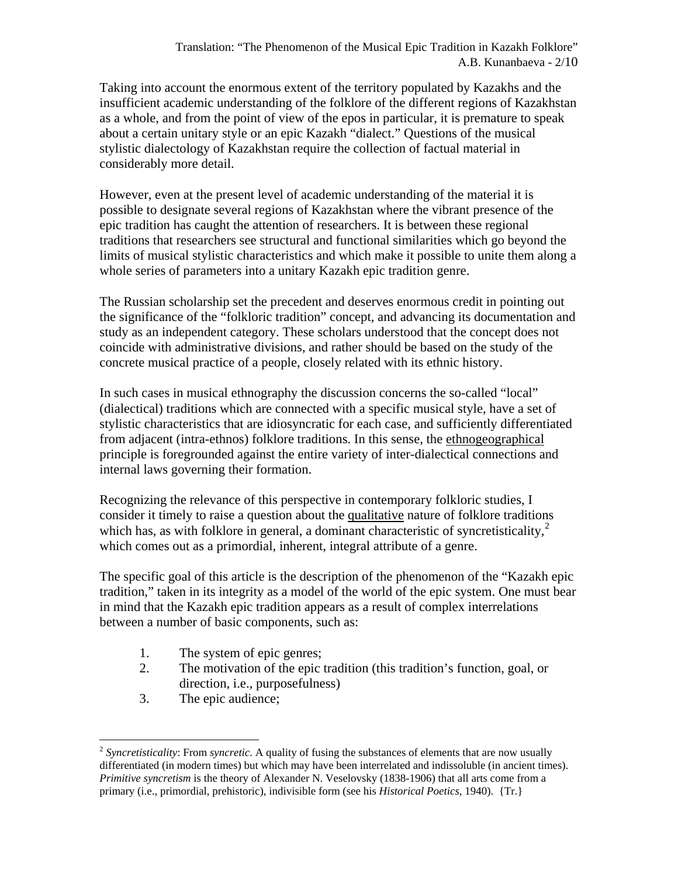Taking into account the enormous extent of the territory populated by Kazakhs and the insufficient academic understanding of the folklore of the different regions of Kazakhstan as a whole, and from the point of view of the epos in particular, it is premature to speak about a certain unitary style or an epic Kazakh "dialect." Questions of the musical stylistic dialectology of Kazakhstan require the collection of factual material in considerably more detail.

However, even at the present level of academic understanding of the material it is possible to designate several regions of Kazakhstan where the vibrant presence of the epic tradition has caught the attention of researchers. It is between these regional traditions that researchers see structural and functional similarities which go beyond the limits of musical stylistic characteristics and which make it possible to unite them along a whole series of parameters into a unitary Kazakh epic tradition genre.

The Russian scholarship set the precedent and deserves enormous credit in pointing out the significance of the "folkloric tradition" concept, and advancing its documentation and study as an independent category. These scholars understood that the concept does not coincide with administrative divisions, and rather should be based on the study of the concrete musical practice of a people, closely related with its ethnic history.

In such cases in musical ethnography the discussion concerns the so-called "local" (dialectical) traditions which are connected with a specific musical style, have a set of stylistic characteristics that are idiosyncratic for each case, and sufficiently differentiated from adjacent (intra-ethnos) folklore traditions. In this sense, the ethnogeographical principle is foregrounded against the entire variety of inter-dialectical connections and internal laws governing their formation.

Recognizing the relevance of this perspective in contemporary folkloric studies, I consider it timely to raise a question about the qualitative nature of folklore traditions which has, as with folklore in general, a dominant characteristic of syncretisticality, $2<sup>2</sup>$  $2<sup>2</sup>$ which comes out as a primordial, inherent, integral attribute of a genre.

The specific goal of this article is the description of the phenomenon of the "Kazakh epic" tradition," taken in its integrity as a model of the world of the epic system. One must bear in mind that the Kazakh epic tradition appears as a result of complex interrelations between a number of basic components, such as:

- 1. The system of epic genres;
- 2. The motivation of the epic tradition (this tradition's function, goal, or direction, i.e., purposefulness)
- 3. The epic audience;

<u>.</u>

<span id="page-1-0"></span><sup>2</sup> *Syncretisticality*: From *syncretic*. A quality of fusing the substances of elements that are now usually differentiated (in modern times) but which may have been interrelated and indissoluble (in ancient times). *Primitive syncretism* is the theory of Alexander N. Veselovsky (1838-1906) that all arts come from a primary (i.e., primordial, prehistoric), indivisible form (see his *Historical Poetics,* 1940). {Tr.}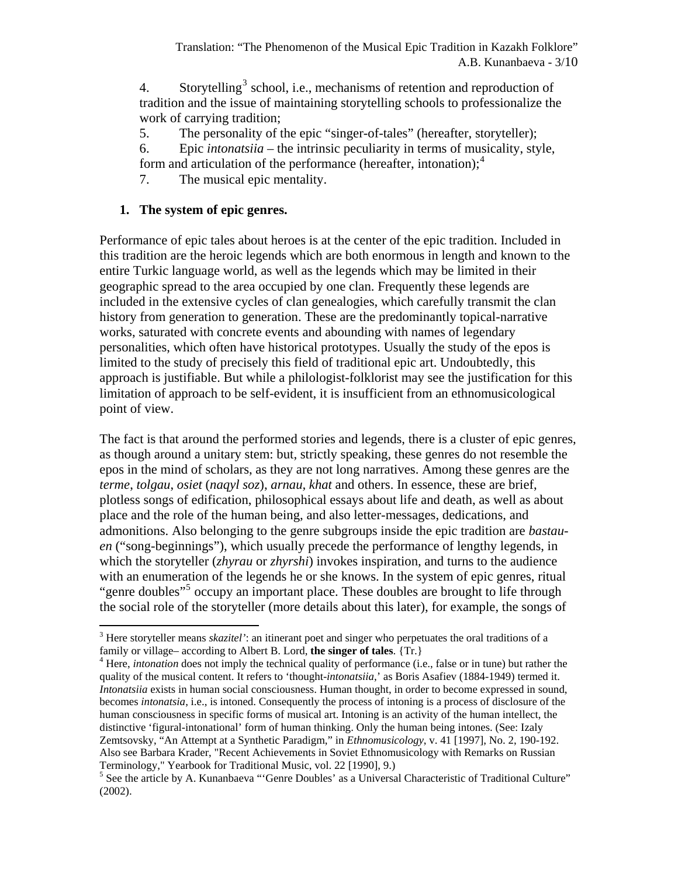4. Storytelling<sup>[3](#page-2-0)</sup> school, i.e., mechanisms of retention and reproduction of tradition and the issue of maintaining storytelling schools to professionalize the work of carrying tradition;

5. The personality of the epic "singer-of-tales" (hereafter, storyteller);

6. Epic *intonatsiia* – the intrinsic peculiarity in terms of musicality, style,

form and articulation of the performance (hereafter, intonation);<sup>[4](#page-2-1)</sup>

7. The musical epic mentality.

# **1. The system of epic genres.**

Performance of epic tales about heroes is at the center of the epic tradition. Included in this tradition are the heroic legends which are both enormous in length and known to the entire Turkic language world, as well as the legends which may be limited in their geographic spread to the area occupied by one clan. Frequently these legends are included in the extensive cycles of clan genealogies, which carefully transmit the clan history from generation to generation. These are the predominantly topical-narrative works, saturated with concrete events and abounding with names of legendary personalities, which often have historical prototypes. Usually the study of the epos is limited to the study of precisely this field of traditional epic art. Undoubtedly, this approach is justifiable. But while a philologist-folklorist may see the justification for this limitation of approach to be self-evident, it is insufficient from an ethnomusicological point of view.

The fact is that around the performed stories and legends, there is a cluster of epic genres, as though around a unitary stem: but, strictly speaking, these genres do not resemble the epos in the mind of scholars, as they are not long narratives. Among these genres are the *terme*, *tolgau*, *osiet* (*naqyl soz*), *arnau, khat* and others. In essence, these are brief, plotless songs of edification, philosophical essays about life and death, as well as about place and the role of the human being, and also letter-messages, dedications, and admonitions. Also belonging to the genre subgroups inside the epic tradition are *bastauen* ("song-beginnings"), which usually precede the performance of lengthy legends, in which the storyteller (*zhyrau* or *zhyrshi*) invokes inspiration, and turns to the audience with an enumeration of the legends he or she knows. In the system of epic genres, ritual "genre doubles"<sup>[5](#page-2-2)</sup> occupy an important place. These doubles are brought to life through the social role of the storyteller (more details about this later), for example, the songs of

<span id="page-2-0"></span> 3 Here storyteller means *skazitel'*: an itinerant poet and singer who perpetuates the oral traditions of a family or village– according to Albert B. Lord, **the singer of tales**. {Tr.} 4

<span id="page-2-1"></span><sup>&</sup>lt;sup>4</sup> Here, *intonation* does not imply the technical quality of performance (i.e., false or in tune) but rather the quality of the musical content. It refers to 'thought-intonatsiia,' as Boris Asafiev (1884-1949) termed it. *Intonatsiia* exists in human social consciousness. Human thought, in order to become expressed in sound, becomes *intonatsia*, i.e., is intoned. Consequently the process of intoning is a process of disclosure of the human consciousness in specific forms of musical art. Intoning is an activity of the human intellect, the distinctive 'figural-intonational' form of human thinking. Only the human being intones. (See: Izaly Zemtsovsky, "An Attempt at a Synthetic Paradigm," in *Ethnomusicology*, v. 41 [1997], No. 2, 190-192. Also see Barbara Krader, "Recent Achievements in Soviet Ethnomusicology with Remarks on Russian Terminology," Yearbook for Traditional Music, vol. 22 [1990], 9.)

<span id="page-2-2"></span><sup>&</sup>lt;sup>5</sup> See the article by A. Kunanbaeva "'Genre Doubles' as a Universal Characteristic of Traditional Culture" (2002).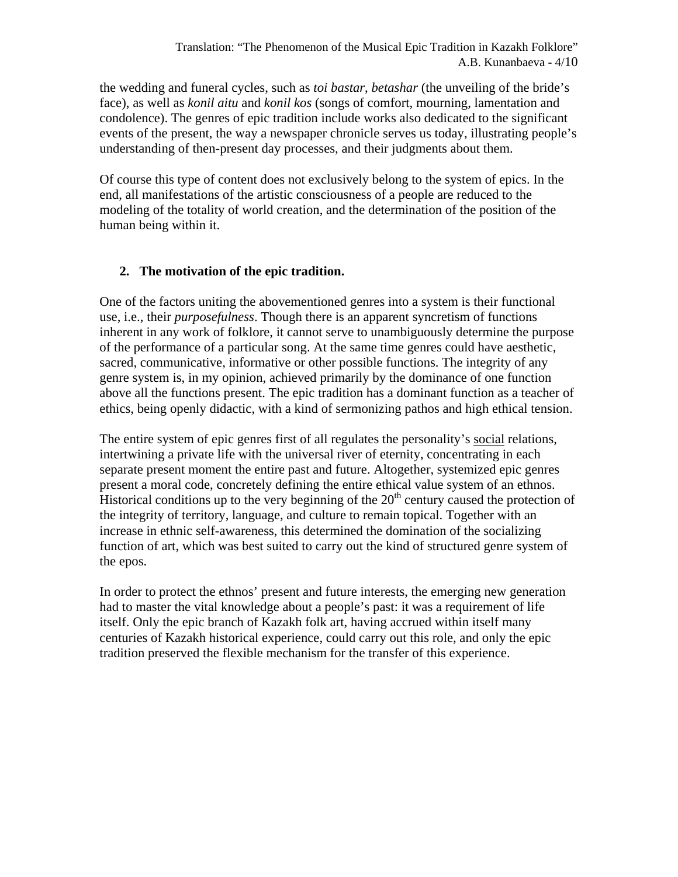the wedding and funeral cycles, such as *toi bastar*, *betashar* (the unveiling of the bride's face), as well as *konil aitu* and *konil kos* (songs of comfort, mourning, lamentation and condolence). The genres of epic tradition include works also dedicated to the significant events of the present, the way a newspaper chronicle serves us today, illustrating people's understanding of then-present day processes, and their judgments about them.

Of course this type of content does not exclusively belong to the system of epics. In the end, all manifestations of the artistic consciousness of a people are reduced to the modeling of the totality of world creation, and the determination of the position of the human being within it.

# **2. The motivation of the epic tradition.**

One of the factors uniting the abovementioned genres into a system is their functional use, i.e., their *purposefulness*. Though there is an apparent syncretism of functions inherent in any work of folklore, it cannot serve to unambiguously determine the purpose of the performance of a particular song. At the same time genres could have aesthetic, sacred, communicative, informative or other possible functions. The integrity of any genre system is, in my opinion, achieved primarily by the dominance of one function above all the functions present. The epic tradition has a dominant function as a teacher of ethics, being openly didactic, with a kind of sermonizing pathos and high ethical tension.

The entire system of epic genres first of all regulates the personality's social relations, intertwining a private life with the universal river of eternity, concentrating in each separate present moment the entire past and future. Altogether, systemized epic genres present a moral code, concretely defining the entire ethical value system of an ethnos. Historical conditions up to the very beginning of the  $20<sup>th</sup>$  century caused the protection of the integrity of territory, language, and culture to remain topical. Together with an increase in ethnic self-awareness, this determined the domination of the socializing function of art, which was best suited to carry out the kind of structured genre system of the epos.

In order to protect the ethnos' present and future interests, the emerging new generation had to master the vital knowledge about a people's past: it was a requirement of life itself. Only the epic branch of Kazakh folk art, having accrued within itself many centuries of Kazakh historical experience, could carry out this role, and only the epic tradition preserved the flexible mechanism for the transfer of this experience.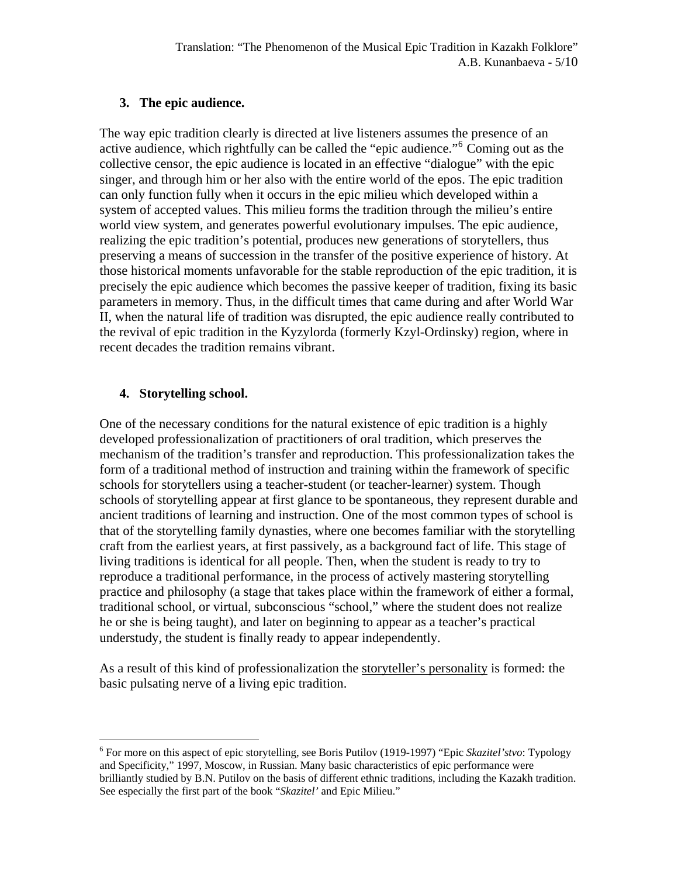#### **3. The epic audience.**

The way epic tradition clearly is directed at live listeners assumes the presence of an active audience, which rightfully can be called the "epic audience."<sup>[6](#page-4-0)</sup> Coming out as the collective censor, the epic audience is located in an effective "dialogue" with the epic singer, and through him or her also with the entire world of the epos. The epic tradition can only function fully when it occurs in the epic milieu which developed within a system of accepted values. This milieu forms the tradition through the milieu's entire world view system, and generates powerful evolutionary impulses. The epic audience, realizing the epic tradition's potential, produces new generations of storytellers, thus preserving a means of succession in the transfer of the positive experience of history. At those historical moments unfavorable for the stable reproduction of the epic tradition, it is precisely the epic audience which becomes the passive keeper of tradition, fixing its basic parameters in memory. Thus, in the difficult times that came during and after World War II, when the natural life of tradition was disrupted, the epic audience really contributed to the revival of epic tradition in the Kyzylorda (formerly Kzyl-Ordinsky) region, where in recent decades the tradition remains vibrant.

## **4. Storytelling school.**

<u>.</u>

One of the necessary conditions for the natural existence of epic tradition is a highly developed professionalization of practitioners of oral tradition, which preserves the mechanism of the tradition's transfer and reproduction. This professionalization takes the form of a traditional method of instruction and training within the framework of specific schools for storytellers using a teacher-student (or teacher-learner) system. Though schools of storytelling appear at first glance to be spontaneous, they represent durable and ancient traditions of learning and instruction. One of the most common types of school is that of the storytelling family dynasties, where one becomes familiar with the storytelling craft from the earliest years, at first passively, as a background fact of life. This stage of living traditions is identical for all people. Then, when the student is ready to try to reproduce a traditional performance, in the process of actively mastering storytelling practice and philosophy (a stage that takes place within the framework of either a formal, traditional school, or virtual, subconscious "school," where the student does not realize he or she is being taught), and later on beginning to appear as a teacher's practical understudy, the student is finally ready to appear independently.

As a result of this kind of professionalization the storyteller's personality is formed: the basic pulsating nerve of a living epic tradition.

<span id="page-4-0"></span><sup>&</sup>lt;sup>6</sup> For more on this aspect of epic storytelling, see Boris Putilov (1919-1997) "Epic *Skazitel'stvo*: Typology and Specificity," 1997, Moscow, in Russian. Many basic characteristics of epic performance were brilliantly studied by B.N. Putilov on the basis of different ethnic traditions, including the Kazakh tradition. See especially the first part of the book "*Skazitel'* and Epic Milieu."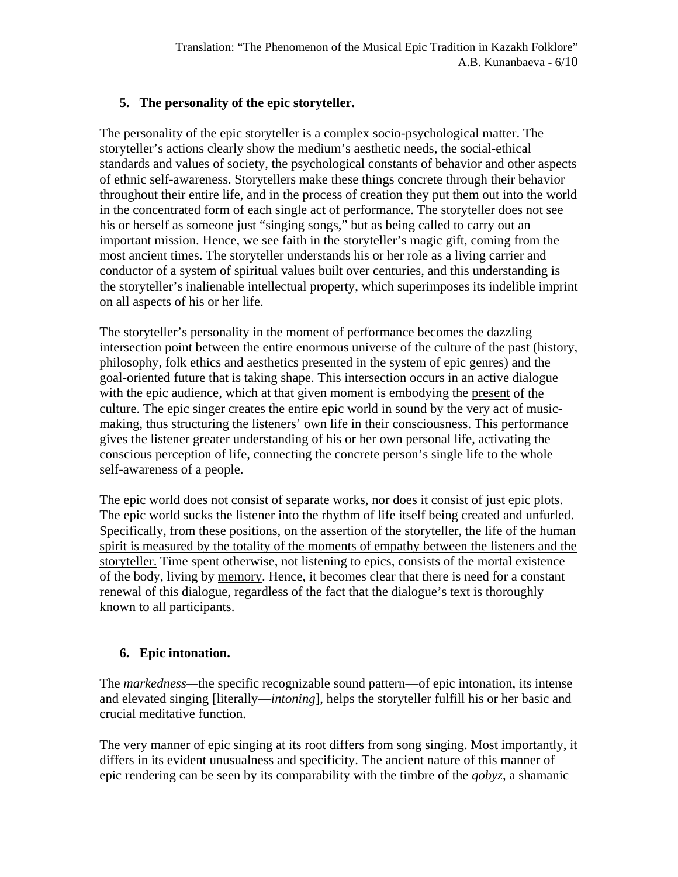## **5. The personality of the epic storyteller.**

The personality of the epic storyteller is a complex socio-psychological matter. The storyteller's actions clearly show the medium's aesthetic needs, the social-ethical standards and values of society, the psychological constants of behavior and other aspects of ethnic self-awareness. Storytellers make these things concrete through their behavior throughout their entire life, and in the process of creation they put them out into the world in the concentrated form of each single act of performance. The storyteller does not see his or herself as someone just "singing songs," but as being called to carry out an important mission. Hence, we see faith in the storyteller's magic gift, coming from the most ancient times. The storyteller understands his or her role as a living carrier and conductor of a system of spiritual values built over centuries, and this understanding is the storyteller's inalienable intellectual property, which superimposes its indelible imprint on all aspects of his or her life.

The storyteller's personality in the moment of performance becomes the dazzling intersection point between the entire enormous universe of the culture of the past (history, philosophy, folk ethics and aesthetics presented in the system of epic genres) and the goal-oriented future that is taking shape. This intersection occurs in an active dialogue with the epic audience, which at that given moment is embodying the present of the culture. The epic singer creates the entire epic world in sound by the very act of musicmaking, thus structuring the listeners' own life in their consciousness. This performance gives the listener greater understanding of his or her own personal life, activating the conscious perception of life, connecting the concrete person's single life to the whole self-awareness of a people.

The epic world does not consist of separate works, nor does it consist of just epic plots. The epic world sucks the listener into the rhythm of life itself being created and unfurled. Specifically, from these positions, on the assertion of the storyteller, the life of the human spirit is measured by the totality of the moments of empathy between the listeners and the storyteller. Time spent otherwise, not listening to epics, consists of the mortal existence of the body, living by memory. Hence, it becomes clear that there is need for a constant renewal of this dialogue, regardless of the fact that the dialogue's text is thoroughly known to all participants.

# **6. Epic intonation.**

The *markedness—*the specific recognizable sound pattern—of epic intonation, its intense and elevated singing [literally—*intoning*], helps the storyteller fulfill his or her basic and crucial meditative function.

The very manner of epic singing at its root differs from song singing. Most importantly, it differs in its evident unusualness and specificity. The ancient nature of this manner of epic rendering can be seen by its comparability with the timbre of the *qobyz*, a shamanic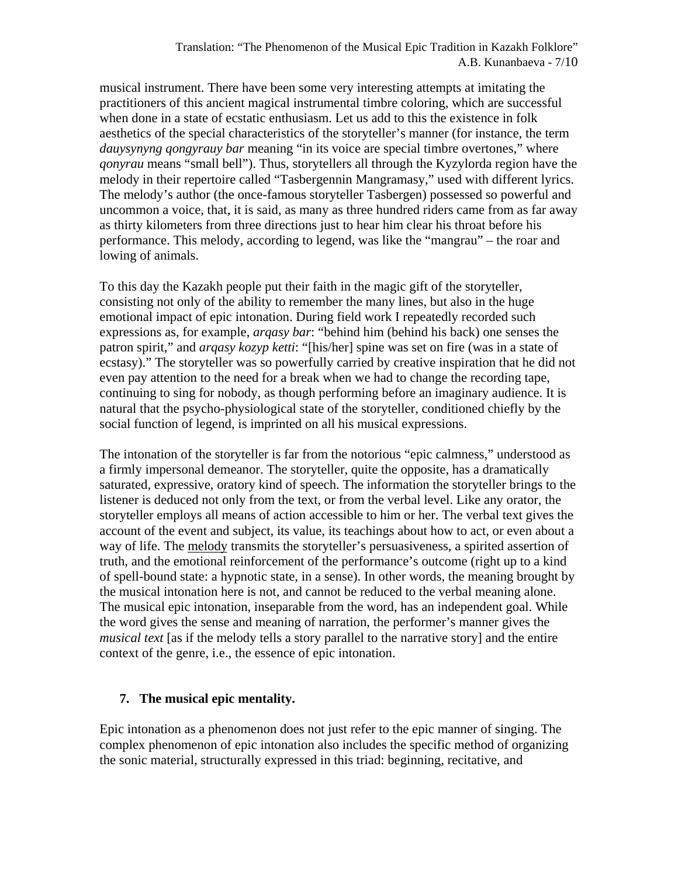musical instrument. There have been some very interesting attempts at imitating the practitioners of this ancient magical instrumental timbre coloring, which are successful when done in a state of ecstatic enthusiasm. Let us add to this the existence in folk aesthetics of the special characteristics of the storyteller's manner (for instance, the term *dauysynyng qongyrauy bar* meaning "in its voice are special timbre overtones," where *qonyrau* means "small bell"). Thus, storytellers all through the Kyzylorda region have the melody in their repertoire called "Tasbergennin Mangramasy," used with different lyrics. The melody's author (the once-famous storyteller Tasbergen) possessed so powerful and uncommon a voice, that, it is said, as many as three hundred riders came from as far away as thirty kilometers from three directions just to hear him clear his throat before his performance. This melody, according to legend, was like the "mangrau" – the roar and lowing of animals.

To this day the Kazakh people put their faith in the magic gift of the storyteller, consisting not only of the ability to remember the many lines, but also in the huge emotional impact of epic intonation. During field work I repeatedly recorded such expressions as, for example, *arqasy bar*: "behind him (behind his back) one senses the patron spirit," and *arqasy kozyp ketti*: "[his/her] spine was set on fire (was in a state of ecstasy)." The storyteller was so powerfully carried by creative inspiration that he did not even pay attention to the need for a break when we had to change the recording tape, continuing to sing for nobody, as though performing before an imaginary audience. It is natural that the psycho-physiological state of the storyteller, conditioned chiefly by the social function of legend, is imprinted on all his musical expressions.

The intonation of the storyteller is far from the notorious "epic calmness," understood as a firmly impersonal demeanor. The storyteller, quite the opposite, has a dramatically saturated, expressive, oratory kind of speech. The information the storyteller brings to the listener is deduced not only from the text, or from the verbal level. Like any orator, the storyteller employs all means of action accessible to him or her. The verbal text gives the account of the event and subject, its value, its teachings about how to act, or even about a way of life. The melody transmits the storyteller's persuasiveness, a spirited assertion of truth, and the emotional reinforcement of the performance's outcome (right up to a kind of spell-bound state: a hypnotic state, in a sense). In other words, the meaning brought by the musical intonation here is not, and cannot be reduced to the verbal meaning alone. The musical epic intonation, inseparable from the word, has an independent goal. While the word gives the sense and meaning of narration, the performer's manner gives the *musical text* [as if the melody tells a story parallel to the narrative story] and the entire context of the genre, i.e., the essence of epic intonation.

#### **7. The musical epic mentality.**

Epic intonation as a phenomenon does not just refer to the epic manner of singing. The complex phenomenon of epic intonation also includes the specific method of organizing the sonic material, structurally expressed in this triad: beginning, recitative, and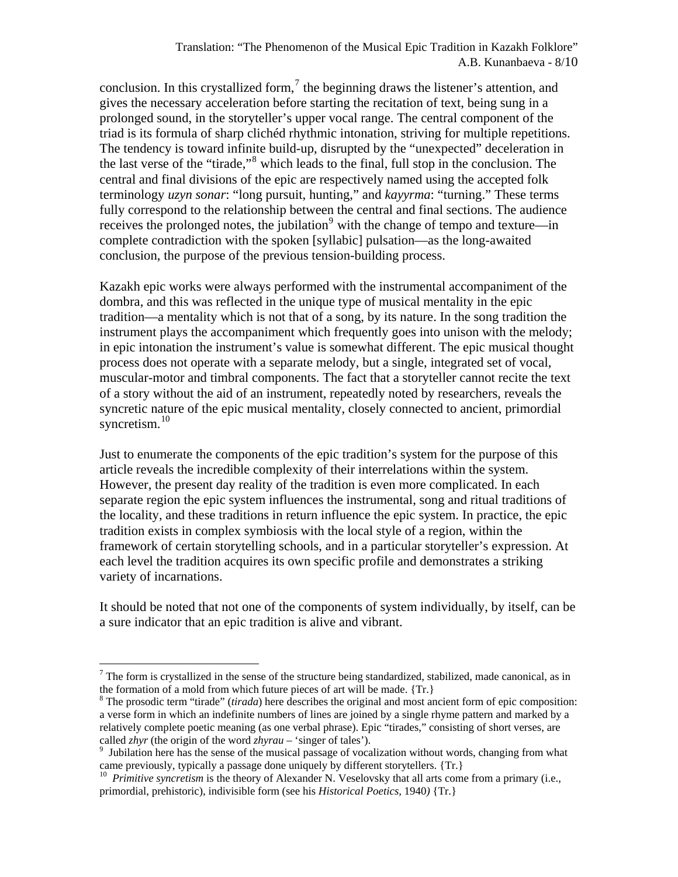conclusion. In this crystallized form,<sup>[7](#page-7-0)</sup> the beginning draws the listener's attention, and gives the necessary acceleration before starting the recitation of text, being sung in a prolonged sound, in the storyteller's upper vocal range. The central component of the triad is its formula of sharp clichéd rhythmic intonation, striving for multiple repetitions. The tendency is toward infinite build-up, disrupted by the "unexpected" deceleration in the last verse of the "tirade,"[8](#page-7-1) which leads to the final, full stop in the conclusion. The central and final divisions of the epic are respectively named using the accepted folk terminology *uzyn sonar*: "long pursuit, hunting," and *kayyrma*: "turning." These terms fully correspond to the relationship between the central and final sections. The audience receives the prolonged notes, the jubilation<sup>[9](#page-7-2)</sup> with the change of tempo and texture—in complete contradiction with the spoken [syllabic] pulsation—as the long-awaited conclusion, the purpose of the previous tension-building process.

Kazakh epic works were always performed with the instrumental accompaniment of the dombra, and this was reflected in the unique type of musical mentality in the epic tradition—a mentality which is not that of a song, by its nature. In the song tradition the instrument plays the accompaniment which frequently goes into unison with the melody; in epic intonation the instrument's value is somewhat different. The epic musical thought process does not operate with a separate melody, but a single, integrated set of vocal, muscular-motor and timbral components. The fact that a storyteller cannot recite the text of a story without the aid of an instrument, repeatedly noted by researchers, reveals the syncretic nature of the epic musical mentality, closely connected to ancient, primordial syncretism. $10$ 

Just to enumerate the components of the epic tradition's system for the purpose of this article reveals the incredible complexity of their interrelations within the system. However, the present day reality of the tradition is even more complicated. In each separate region the epic system influences the instrumental, song and ritual traditions of the locality, and these traditions in return influence the epic system. In practice, the epic tradition exists in complex symbiosis with the local style of a region, within the framework of certain storytelling schools, and in a particular storyteller's expression. At each level the tradition acquires its own specific profile and demonstrates a striking variety of incarnations.

It should be noted that not one of the components of system individually, by itself, can be a sure indicator that an epic tradition is alive and vibrant.

 $\overline{a}$ 

<span id="page-7-0"></span> $<sup>7</sup>$  The form is crystallized in the sense of the structure being standardized, stabilized, made canonical, as in</sup> the formation of a mold from which future pieces of art will be made. {Tr.} 8

<span id="page-7-1"></span>The prosodic term "tirade" (*tirada*) here describes the original and most ancient form of epic composition: a verse form in which an indefinite numbers of lines are joined by a single rhyme pattern and marked by a relatively complete poetic meaning (as one verbal phrase). Epic "tirades," consisting of short verses, are called *zhyr* (the origin of the word *zhyrau* – 'singer of tales').

<span id="page-7-2"></span><sup>&</sup>lt;sup>9</sup> Jubilation here has the sense of the musical passage of vocalization without words, changing from what came previously, typically a passage done uniquely by different storytellers. {Tr.}

<span id="page-7-3"></span><sup>&</sup>lt;sup>10</sup> *Primitive syncretism* is the theory of Alexander N. Veselovsky that all arts come from a primary (i.e., primordial, prehistoric), indivisible form (see his *Historical Poetics,* 1940*)* {Tr.}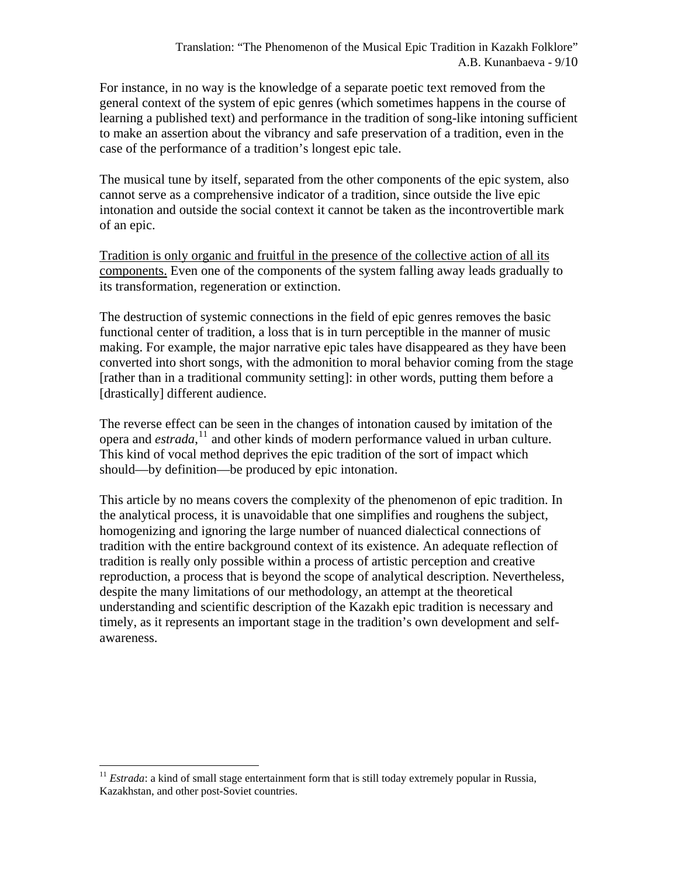For instance, in no way is the knowledge of a separate poetic text removed from the general context of the system of epic genres (which sometimes happens in the course of learning a published text) and performance in the tradition of song-like intoning sufficient to make an assertion about the vibrancy and safe preservation of a tradition, even in the case of the performance of a tradition's longest epic tale.

The musical tune by itself, separated from the other components of the epic system, also cannot serve as a comprehensive indicator of a tradition, since outside the live epic intonation and outside the social context it cannot be taken as the incontrovertible mark of an epic.

Tradition is only organic and fruitful in the presence of the collective action of all its components. Even one of the components of the system falling away leads gradually to its transformation, regeneration or extinction.

The destruction of systemic connections in the field of epic genres removes the basic functional center of tradition, a loss that is in turn perceptible in the manner of music making. For example, the major narrative epic tales have disappeared as they have been converted into short songs, with the admonition to moral behavior coming from the stage [rather than in a traditional community setting]: in other words, putting them before a [drastically] different audience.

The reverse effect can be seen in the changes of intonation caused by imitation of the opera and *estrada*, [11](#page-8-0) and other kinds of modern performance valued in urban culture. This kind of vocal method deprives the epic tradition of the sort of impact which should—by definition—be produced by epic intonation.

This article by no means covers the complexity of the phenomenon of epic tradition. In the analytical process, it is unavoidable that one simplifies and roughens the subject, homogenizing and ignoring the large number of nuanced dialectical connections of tradition with the entire background context of its existence. An adequate reflection of tradition is really only possible within a process of artistic perception and creative reproduction, a process that is beyond the scope of analytical description. Nevertheless, despite the many limitations of our methodology, an attempt at the theoretical understanding and scientific description of the Kazakh epic tradition is necessary and timely, as it represents an important stage in the tradition's own development and selfawareness.

<span id="page-8-0"></span><sup>1</sup> <sup>11</sup> *Estrada*: a kind of small stage entertainment form that is still today extremely popular in Russia, Kazakhstan, and other post-Soviet countries.